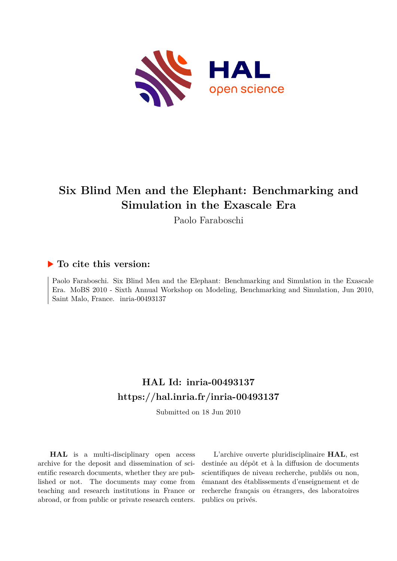

# **Six Blind Men and the Elephant: Benchmarking and Simulation in the Exascale Era**

Paolo Faraboschi

#### **To cite this version:**

Paolo Faraboschi. Six Blind Men and the Elephant: Benchmarking and Simulation in the Exascale Era. MoBS 2010 - Sixth Annual Workshop on Modeling, Benchmarking and Simulation, Jun 2010, Saint Malo, France. inria-00493137

## **HAL Id: inria-00493137 <https://hal.inria.fr/inria-00493137>**

Submitted on 18 Jun 2010

**HAL** is a multi-disciplinary open access archive for the deposit and dissemination of scientific research documents, whether they are published or not. The documents may come from teaching and research institutions in France or abroad, or from public or private research centers.

L'archive ouverte pluridisciplinaire **HAL**, est destinée au dépôt et à la diffusion de documents scientifiques de niveau recherche, publiés ou non, émanant des établissements d'enseignement et de recherche français ou étrangers, des laboratoires publics ou privés.